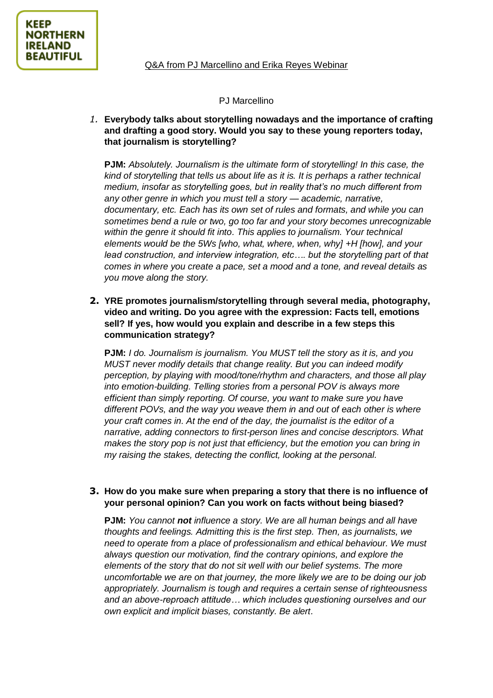#### PJ Marcellino

*1.* **Everybody talks about storytelling nowadays and the importance of crafting and drafting a good story. Would you say to these young reporters today, that journalism is storytelling?**

**PJM:** *Absolutely. Journalism is the ultimate form of storytelling! In this case, the kind of storytelling that tells us about life as it is. It is perhaps a rather technical medium, insofar as storytelling goes, but in reality that's no much different from any other genre in which you must tell a story — academic, narrative, documentary, etc. Each has its own set of rules and formats, and while you can sometimes bend a rule or two, go too far and your story becomes unrecognizable within the genre it should fit into. This applies to journalism. Your technical elements would be the 5Ws [who, what, where, when, why] +H [how], and your lead construction, and interview integration, etc…. but the storytelling part of that comes in where you create a pace, set a mood and a tone, and reveal details as you move along the story.*

**2. YRE promotes journalism/storytelling through several media, photography, video and writing. Do you agree with the expression: Facts tell, emotions sell? If yes, how would you explain and describe in a few steps this communication strategy?**

**PJM:** *I do. Journalism is journalism. You MUST tell the story as it is, and you MUST never modify details that change reality. But you can indeed modify perception, by playing with mood/tone/rhythm and characters, and those all play into emotion-building. Telling stories from a personal POV is always more efficient than simply reporting. Of course, you want to make sure you have different POVs, and the way you weave them in and out of each other is where your craft comes in. At the end of the day, the journalist is the editor of a narrative, adding connectors to first-person lines and concise descriptors. What makes the story pop is not just that efficiency, but the emotion you can bring in my raising the stakes, detecting the conflict, looking at the personal.*

# **3. How do you make sure when preparing a story that there is no influence of your personal opinion? Can you work on facts without being biased?**

**PJM:** *You cannot not influence a story. We are all human beings and all have thoughts and feelings. Admitting this is the first step. Then, as journalists, we need to operate from a place of professionalism and ethical behaviour. We must always question our motivation, find the contrary opinions, and explore the elements of the story that do not sit well with our belief systems. The more uncomfortable we are on that journey, the more likely we are to be doing our job appropriately. Journalism is tough and requires a certain sense of righteousness and an above-reproach attitude… which includes questioning ourselves and our own explicit and implicit biases, constantly. Be alert.*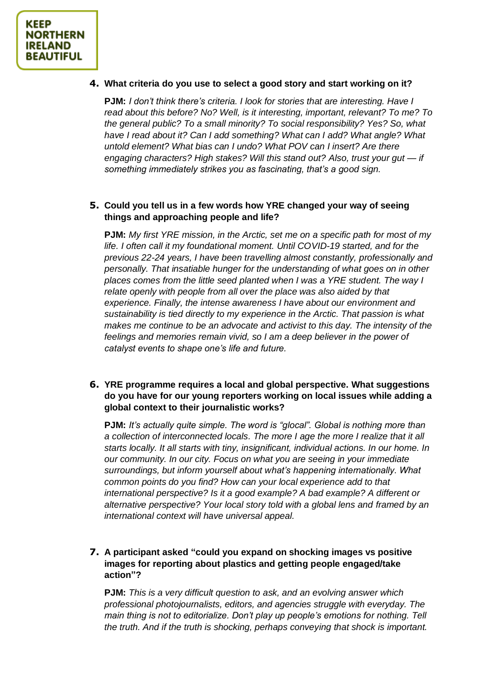### **4. What criteria do you use to select a good story and start working on it?**

**PJM:** *I don't think there's criteria. I look for stories that are interesting. Have I read about this before? No? Well, is it interesting, important, relevant? To me? To the general public? To a small minority? To social responsibility? Yes? So, what have I read about it? Can I add something? What can I add? What angle? What untold element? What bias can I undo? What POV can I insert? Are there engaging characters? High stakes? Will this stand out? Also, trust your gut — if something immediately strikes you as fascinating, that's a good sign.* 

# **5. Could you tell us in a few words how YRE changed your way of seeing things and approaching people and life?**

**PJM:** *My first YRE mission, in the Arctic, set me on a specific path for most of my life. I often call it my foundational moment. Until COVID-19 started, and for the previous 22-24 years, I have been travelling almost constantly, professionally and personally. That insatiable hunger for the understanding of what goes on in other places comes from the little seed planted when I was a YRE student. The way I relate openly with people from all over the place was also aided by that experience. Finally, the intense awareness I have about our environment and sustainability is tied directly to my experience in the Arctic. That passion is what makes me continue to be an advocate and activist to this day. The intensity of the feelings and memories remain vivid, so I am a deep believer in the power of catalyst events to shape one's life and future.*

# **6. YRE programme requires a local and global perspective. What suggestions do you have for our young reporters working on local issues while adding a global context to their journalistic works?**

**PJM:** *It's actually quite simple. The word is "glocal". Global is nothing more than a collection of interconnected locals. The more I age the more I realize that it all starts locally. It all starts with tiny, insignificant, individual actions. In our home. In our community. In our city. Focus on what you are seeing in your immediate surroundings, but inform yourself about what's happening internationally. What common points do you find? How can your local experience add to that international perspective? Is it a good example? A bad example? A different or alternative perspective? Your local story told with a global lens and framed by an international context will have universal appeal.* 

# **7. A participant asked "could you expand on shocking images vs positive images for reporting about plastics and getting people engaged/take action"?**

**PJM:** *This is a very difficult question to ask, and an evolving answer which professional photojournalists, editors, and agencies struggle with everyday. The main thing is not to editorialize. Don't play up people's emotions for nothing. Tell the truth. And if the truth is shocking, perhaps conveying that shock is important.*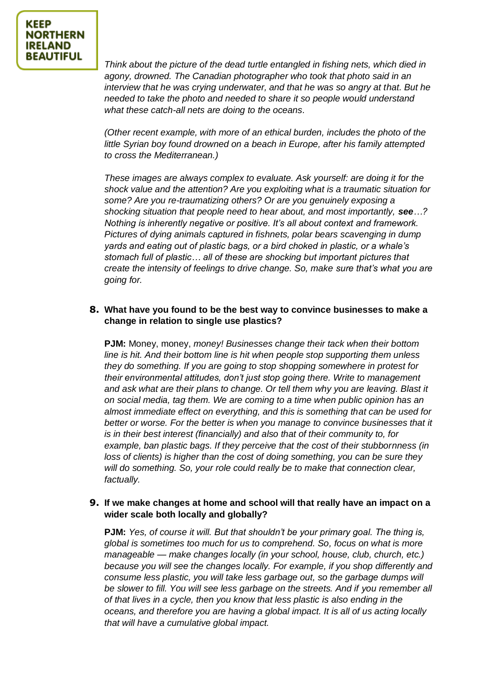*Think about the picture of the dead turtle entangled in fishing nets, which died in agony, drowned. The Canadian photographer who took that photo said in an interview that he was crying underwater, and that he was so angry at that. But he needed to take the photo and needed to share it so people would understand what these catch-all nets are doing to the oceans.*

*(Other recent example, with more of an ethical burden, includes the photo of the little Syrian boy found drowned on a beach in Europe, after his family attempted to cross the Mediterranean.)* 

*These images are always complex to evaluate. Ask yourself: are doing it for the shock value and the attention? Are you exploiting what is a traumatic situation for some? Are you re-traumatizing others? Or are you genuinely exposing a shocking situation that people need to hear about, and most importantly, see…? Nothing is inherently negative or positive. It's all about context and framework. Pictures of dying animals captured in fishnets, polar bears scavenging in dump yards and eating out of plastic bags, or a bird choked in plastic, or a whale's stomach full of plastic… all of these are shocking but important pictures that create the intensity of feelings to drive change. So, make sure that's what you are going for.*

# **8. What have you found to be the best way to convince businesses to make a change in relation to single use plastics?**

**PJM:** Money, money, *money! Businesses change their tack when their bottom line is hit. And their bottom line is hit when people stop supporting them unless they do something. If you are going to stop shopping somewhere in protest for their environmental attitudes, don't just stop going there. Write to management and ask what are their plans to change. Or tell them why you are leaving. Blast it on social media, tag them. We are coming to a time when public opinion has an almost immediate effect on everything, and this is something that can be used for*  better or worse. For the better is when you manage to convince businesses that it *is in their best interest (financially) and also that of their community to, for example, ban plastic bags. If they perceive that the cost of their stubbornness (in loss of clients) is higher than the cost of doing something, you can be sure they will do something. So, your role could really be to make that connection clear, factually.* 

# **9. If we make changes at home and school will that really have an impact on a wider scale both locally and globally?**

**PJM:** *Yes, of course it will. But that shouldn't be your primary goal. The thing is, global is sometimes too much for us to comprehend. So, focus on what is more manageable — make changes locally (in your school, house, club, church, etc.) because you will see the changes locally. For example, if you shop differently and*  consume less plastic, you will take less garbage out, so the garbage dumps will *be slower to fill. You will see less garbage on the streets. And if you remember all of that lives in a cycle, then you know that less plastic is also ending in the oceans, and therefore you are having a global impact. It is all of us acting locally that will have a cumulative global impact.*